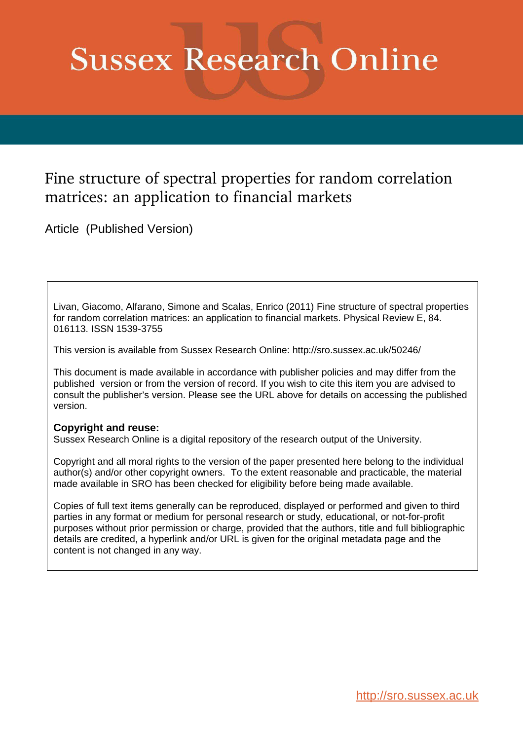# <span id="page-0-0"></span>**Sussex Research Online**

# Fine structure of spectral properties for random correlation matrices: an application to financial markets

Article (Published Version)

Livan, Giacomo, Alfarano, Simone and Scalas, Enrico (2011) Fine structure of spectral properties for random correlation matrices: an application to financial markets. Physical Review E, 84. 016113. ISSN 1539-3755

This version is available from Sussex Research Online: http://sro.sussex.ac.uk/50246/

This document is made available in accordance with publisher policies and may differ from the published version or from the version of record. If you wish to cite this item you are advised to consult the publisher's version. Please see the URL above for details on accessing the published version.

## **Copyright and reuse:**

Sussex Research Online is a digital repository of the research output of the University.

Copyright and all moral rights to the version of the paper presented here belong to the individual author(s) and/or other copyright owners. To the extent reasonable and practicable, the material made available in SRO has been checked for eligibility before being made available.

Copies of full text items generally can be reproduced, displayed or performed and given to third parties in any format or medium for personal research or study, educational, or not-for-profit purposes without prior permission or charge, provided that the authors, title and full bibliographic details are credited, a hyperlink and/or URL is given for the original metadata page and the content is not changed in any way.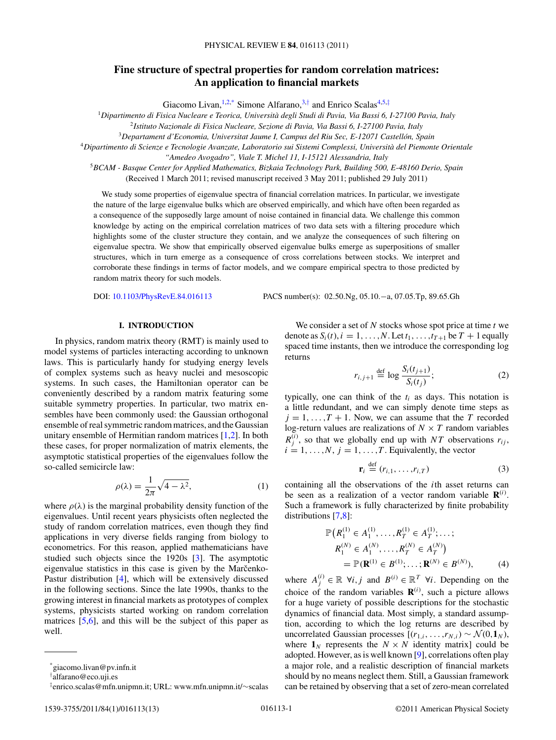### <span id="page-1-0"></span>**Fine structure of spectral properties for random correlation matrices: An application to financial markets**

Giacomo Livan, <sup>[1,2,\\*](#page-0-0)</sup> Simone Alfarano,<sup>[3,](#page-0-0)[†](#page-0-0)</sup> and Enrico Scalas<sup>[4,5,](#page-0-0)[‡](#page-0-0)</sup>

<sup>1</sup>*Dipartimento di Fisica Nucleare e Teorica, Universita degli Studi di Pavia, Via Bassi 6, I-27100 Pavia, Italy `*

2 *Istituto Nazionale di Fisica Nucleare, Sezione di Pavia, Via Bassi 6, I-27100 Pavia, Italy*

<sup>3</sup>*Departament d'Economia, Universitat Jaume I, Campus del Riu Sec, E-12071 Castellon, Spain ´*

<sup>4</sup>*Dipartimento di Scienze e Tecnologie Avanzate, Laboratorio sui Sistemi Complessi, Universita del Piemonte Orientale `*

*"Amedeo Avogadro", Viale T. Michel 11, I-15121 Alessandria, Italy*

<sup>5</sup>*BCAM - Basque Center for Applied Mathematics, Bizkaia Technology Park, Building 500, E-48160 Derio, Spain* (Received 1 March 2011; revised manuscript received 3 May 2011; published 29 July 2011)

We study some properties of eigenvalue spectra of financial correlation matrices. In particular, we investigate the nature of the large eigenvalue bulks which are observed empirically, and which have often been regarded as a consequence of the supposedly large amount of noise contained in financial data. We challenge this common knowledge by acting on the empirical correlation matrices of two data sets with a filtering procedure which highlights some of the cluster structure they contain, and we analyze the consequences of such filtering on eigenvalue spectra. We show that empirically observed eigenvalue bulks emerge as superpositions of smaller structures, which in turn emerge as a consequence of cross correlations between stocks. We interpret and corroborate these findings in terms of factor models, and we compare empirical spectra to those predicted by random matrix theory for such models.

DOI: [10.1103/PhysRevE.84.016113](http://dx.doi.org/10.1103/PhysRevE.84.016113) PACS number(s): 02.50.Ng, 05.10.−a, 07.05.Tp, 89.65.Gh

#### **I. INTRODUCTION**

In physics, random matrix theory (RMT) is mainly used to model systems of particles interacting according to unknown laws. This is particularly handy for studying energy levels of complex systems such as heavy nuclei and mesoscopic systems. In such cases, the Hamiltonian operator can be conveniently described by a random matrix featuring some suitable symmetry properties. In particular, two matrix ensembles have been commonly used: the Gaussian orthogonal ensemble of real symmetric random matrices, and the Gaussian unitary ensemble of Hermitian random matrices [\[1,2\]](#page-11-0). In both these cases, for proper normalization of matrix elements, the asymptotic statistical properties of the eigenvalues follow the so-called semicircle law:

$$
\rho(\lambda) = \frac{1}{2\pi} \sqrt{4 - \lambda^2},\tag{1}
$$

where  $\rho(\lambda)$  is the marginal probability density function of the eigenvalues. Until recent years physicists often neglected the study of random correlation matrices, even though they find applications in very diverse fields ranging from biology to econometrics. For this reason, applied mathematicians have studied such objects since the 1920s [\[3\]](#page-11-0). The asymptotic eigenvalue statistics in this case is given by the Marcenko-Pastur distribution [\[4\]](#page-11-0), which will be extensively discussed in the following sections. Since the late 1990s, thanks to the growing interest in financial markets as prototypes of complex systems, physicists started working on random correlation matrices [\[5](#page-11-0)[,6\]](#page-12-0), and this will be the subject of this paper as well.

We consider a set of  $N$  stocks whose spot price at time  $t$  we denote as  $S_i(t)$ ,  $i = 1, \ldots, N$ . Let  $t_1, \ldots, t_{T+1}$  be  $T + 1$  equally spaced time instants, then we introduce the corresponding log returns

$$
r_{i,j+1} \stackrel{\text{def}}{=} \log \frac{S_i(t_{j+1})}{S_i(t_j)};
$$
 (2)

typically, one can think of the  $t_i$  as days. This notation is a little redundant, and we can simply denote time steps as  $j = 1, \ldots, T + 1$ . Now, we can assume that the T recorded log-return values are realizations of  $N \times T$  random variables  $R_j^{(i)}$ , so that we globally end up with NT observations  $r_{ij}$ ,  $i = 1, \ldots, N, j = 1, \ldots, T$ . Equivalently, the vector

$$
\mathbf{r}_i \stackrel{\text{def}}{=} (r_{i,1}, \dots, r_{i,T}) \tag{3}
$$

containing all the observations of the ith asset returns can be seen as a realization of a vector random variable  $\mathbf{R}^{(i)}$ . Such a framework is fully characterized by finite probability distributions [\[7,8\]](#page-12-0):

$$
\mathbb{P}\left(R_{1}^{(1)} \in A_{1}^{(1)}, \ldots, R_{T}^{(1)} \in A_{T}^{(1)}; \ldots; \nR_{1}^{(N)} \in A_{1}^{(N)}, \ldots, R_{T}^{(N)} \in A_{T}^{(N)}\right) \n= \mathbb{P}(\mathbf{R}^{(1)} \in B^{(1)}; \ldots; \mathbf{R}^{(N)} \in B^{(N)}),
$$
\n(4)

where  $A_j^{(i)} \in \mathbb{R} \ \forall i, j$  and  $B^{(i)} \in \mathbb{R}^T \ \forall i$ . Depending on the choice of the random variables  $\mathbf{R}^{(i)}$ , such a picture allows for a huge variety of possible descriptions for the stochastic dynamics of financial data. Most simply, a standard assumption, according to which the log returns are described by uncorrelated Gaussian processes  $[(r_{1,i},...,r_{N,i}) \sim \mathcal{N}(0,1_N)]$ where  $\mathbf{1}_N$  represents the  $N \times N$  identity matrix] could be adopted. However, as is well known [\[9\]](#page-12-0), correlations often play a major role, and a realistic description of financial markets should by no means neglect them. Still, a Gaussian framework can be retained by observing that a set of zero-mean correlated

<sup>\*</sup>giacomo.livan@pv.infn.it

<sup>†</sup> alfarano@eco.uji.es

<sup>‡</sup> enrico.scalas@mfn.unipmn.it; URL: www.mfn.unipmn.it/∼scalas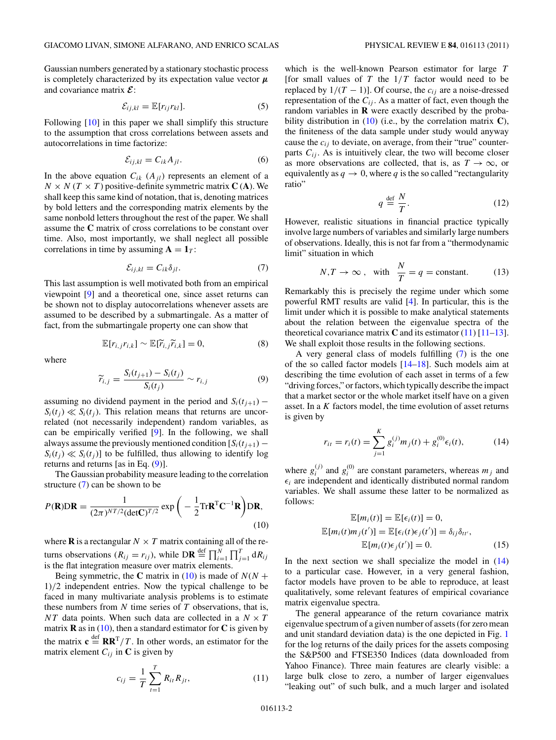<span id="page-2-0"></span>Gaussian numbers generated by a stationary stochastic process is completely characterized by its expectation value vector  $\mu$ and covariance matrix  $\mathcal{E}$ :

$$
\mathcal{E}_{ij,kl} = \mathbb{E}[r_{ij}r_{kl}].
$$
 (5)

Following  $[10]$  in this paper we shall simplify this structure to the assumption that cross correlations between assets and autocorrelations in time factorize:

$$
\mathcal{E}_{ij,kl} = C_{ik} A_{jl}.\tag{6}
$$

In the above equation  $C_{ik}$  ( $A_{jl}$ ) represents an element of a  $N \times N$  ( $T \times T$ ) positive-definite symmetric matrix **C** (**A**). We shall keep this same kind of notation, that is, denoting matrices by bold letters and the corresponding matrix elements by the same nonbold letters throughout the rest of the paper. We shall assume the **C** matrix of cross correlations to be constant over time. Also, most importantly, we shall neglect all possible correlations in time by assuming  $A = 1_T$ :

$$
\mathcal{E}_{ij,kl} = C_{ik}\delta_{jl}.\tag{7}
$$

This last assumption is well motivated both from an empirical viewpoint [\[9\]](#page-12-0) and a theoretical one, since asset returns can be shown not to display autocorrelations whenever assets are assumed to be described by a submartingale. As a matter of fact, from the submartingale property one can show that

$$
\mathbb{E}[r_{i,j}r_{i,k}] \sim \mathbb{E}[\widetilde{r}_{i,j}\widetilde{r}_{i,k}] = 0, \tag{8}
$$

where

$$
\widetilde{r}_{i,j} = \frac{S_i(t_{j+1}) - S_i(t_j)}{S_i(t_j)} \sim r_{i,j} \tag{9}
$$

assuming no dividend payment in the period and  $S_i(t_{i+1})$  –  $S_i(t_i) \ll S_i(t_i)$ . This relation means that returns are uncorrelated (not necessarily independent) random variables, as can be empirically verified [\[9\]](#page-12-0). In the following, we shall always assume the previously mentioned condition  $[S_i(t_{i+1}) S_i(t_i) \ll S_i(t_i)$ ] to be fulfilled, thus allowing to identify log returns and returns [as in Eq.  $(9)$ ].

The Gaussian probability measure leading to the correlation structure [\(7\)](#page-1-0) can be shown to be

$$
P(\mathbf{R})\mathbf{D}\mathbf{R} = \frac{1}{(2\pi)^{NT/2}(\det \mathbf{C})^{T/2}} \exp\bigg(-\frac{1}{2}\text{Tr}\mathbf{R}^{\mathrm{T}}\mathbf{C}^{-1}\mathbf{R}\bigg)\mathbf{D}\mathbf{R},\tag{10}
$$

where **R** is a rectangular  $N \times T$  matrix containing all of the returns observations  $(R_{ij} = r_{ij})$ , while  $\text{DR} \stackrel{\text{def}}{=} \prod_{i=1}^{N} \prod_{j=1}^{T} dR_{ij}$ is the flat integration measure over matrix elements.

Being symmetric, the **C** matrix in [\(10\)](#page-1-0) is made of  $N(N +$ 1)/2 independent entries. Now the typical challenge to be faced in many multivariate analysis problems is to estimate these numbers from  $N$  time series of  $T$  observations, that is, NT data points. When such data are collected in a  $N \times T$ matrix **R** as in  $(10)$ , then a standard estimator for **C** is given by the matrix  $\mathbf{c} \stackrel{\text{def}}{=} \mathbf{R} \mathbf{R}^T / T$ . In other words, an estimator for the matrix element  $C_{ij}$  in **C** is given by

$$
c_{ij} = \frac{1}{T} \sum_{t=1}^{T} R_{it} R_{jt},
$$
\n(11)

which is the well-known Pearson estimator for large T [for small values of  $T$  the  $1/T$  factor would need to be replaced by  $1/(T - 1)$ ]. Of course, the  $c_{ij}$  are a noise-dressed representation of the  $C_{ij}$ . As a matter of fact, even though the random variables in **R** were exactly described by the probability distribution in [\(10\)](#page-1-0) (i.e., by the correlation matrix **C**), the finiteness of the data sample under study would anyway cause the  $c_{ij}$  to deviate, on average, from their "true" counterparts  $C_{ij}$ . As is intuitively clear, the two will become closer as more observations are collected, that is, as  $T \to \infty$ , or equivalently as  $q \to 0$ , where q is the so called "rectangularity" ratio"

$$
q \stackrel{\text{def}}{=} \frac{N}{T}.\tag{12}
$$

However, realistic situations in financial practice typically involve large numbers of variables and similarly large numbers of observations. Ideally, this is not far from a "thermodynamic limit" situation in which

$$
N, T \to \infty
$$
, with  $\frac{N}{T} = q = \text{constant}$ . (13)

Remarkably this is precisely the regime under which some powerful RMT results are valid [\[4\]](#page-11-0). In particular, this is the limit under which it is possible to make analytical statements about the relation between the eigenvalue spectra of the theoretical covariance matrix  $C$  and its estimator  $(11)$  [\[11–13\]](#page-12-0). We shall exploit those results in the following sections.

A very general class of models fulfilling [\(7\)](#page-1-0) is the one of the so called factor models [\[14–18\]](#page-12-0). Such models aim at describing the time evolution of each asset in terms of a few "driving forces," or factors, which typically describe the impact that a market sector or the whole market itself have on a given asset. In a K factors model, the time evolution of asset returns is given by

$$
r_{it} = r_i(t) = \sum_{j=1}^{K} g_i^{(j)} m_j(t) + g_i^{(0)} \epsilon_i(t),
$$
 (14)

where  $g_i^{(j)}$  and  $g_i^{(0)}$  are constant parameters, whereas  $m_j$  and  $\epsilon_i$  are independent and identically distributed normal random variables. We shall assume these latter to be normalized as follows:

$$
\mathbb{E}[m_i(t)] = \mathbb{E}[\epsilon_i(t)] = 0,
$$
  
\n
$$
\mathbb{E}[m_i(t)m_j(t')] = \mathbb{E}[\epsilon_i(t)\epsilon_j(t')] = \delta_{ij}\delta_{tt'},
$$
  
\n
$$
\mathbb{E}[m_i(t)\epsilon_j(t')] = 0.
$$
 (15)

In the next section we shall specialize the model in  $(14)$ to a particular case. However, in a very general fashion, factor models have proven to be able to reproduce, at least qualitatively, some relevant features of empirical covariance matrix eigenvalue spectra.

The general appearance of the return covariance matrix eigenvalue spectrum of a given number of assets (for zero mean and unit standard deviation data) is the one depicted in Fig. 1 for the log returns of the daily prices for the assets composing the S&P500 and FTSE350 Indices (data downloaded from Yahoo Finance). Three main features are clearly visible: a large bulk close to zero, a number of larger eigenvalues "leaking out" of such bulk, and a much larger and isolated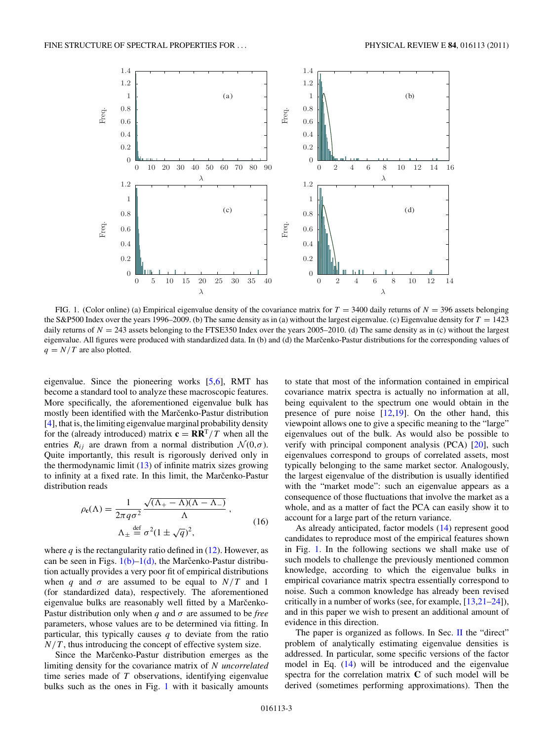<span id="page-3-0"></span>

FIG. 1. (Color online) (a) Empirical eigenvalue density of the covariance matrix for  $T = 3400$  daily returns of  $N = 396$  assets belonging the S&P500 Index over the years 1996–2009. (b) The same density as in (a) without the largest eigenvalue. (c) Eigenvalue density for  $T = 1423$ daily returns of  $N = 243$  assets belonging to the FTSE350 Index over the years 2005–2010. (d) The same density as in (c) without the largest eigenvalue. All figures were produced with standardized data. In (b) and (d) the Marcenko-Pastur distributions for the corresponding values of  $q = N/T$  are also plotted.

eigenvalue. Since the pioneering works [\[5](#page-11-0)[,6\]](#page-12-0), RMT has become a standard tool to analyze these macroscopic features. More specifically, the aforementioned eigenvalue bulk has mostly been identified with the Marčenko-Pastur distribution [\[4\]](#page-11-0), that is, the limiting eigenvalue marginal probability density for the (already introduced) matrix  $\mathbf{c} = \mathbf{R}\mathbf{R}^T/T$  when all the entries  $R_{ij}$  are drawn from a normal distribution  $\mathcal{N}(0,\sigma)$ . Quite importantly, this result is rigorously derived only in the thermodynamic limit  $(13)$  of infinite matrix sizes growing to infinity at a fixed rate. In this limit, the Marcenko-Pastur distribution reads

$$
\rho_{\mathbf{c}}(\Lambda) = \frac{1}{2\pi q \sigma^2} \frac{\sqrt{(\Lambda_+ - \Lambda)(\Lambda - \Lambda_-)}}{\Lambda},
$$
  

$$
\Lambda_{\pm} \stackrel{\text{def}}{=} \sigma^2 (1 \pm \sqrt{q})^2,
$$
 (16)

where  $q$  is the rectangularity ratio defined in [\(12\)](#page-1-0). However, as can be seen in Figs.  $1(b)-1(d)$ , the Marcenko-Pastur distribution actually provides a very poor fit of empirical distributions when q and  $\sigma$  are assumed to be equal to  $N/T$  and 1 (for standardized data), respectively. The aforementioned eigenvalue bulks are reasonably well fitted by a Marčenko-Pastur distribution only when  $q$  and  $\sigma$  are assumed to be *free* parameters, whose values are to be determined via fitting. In particular, this typically causes  $q$  to deviate from the ratio  $N/T$ , thus introducing the concept of effective system size.

Since the Marcenko-Pastur distribution emerges as the limiting density for the covariance matrix of N *uncorrelated* time series made of  $T$  observations, identifying eigenvalue bulks such as the ones in Fig. [1](#page-2-0) with it basically amounts

to state that most of the information contained in empirical covariance matrix spectra is actually no information at all, being equivalent to the spectrum one would obtain in the presence of pure noise  $[12,19]$ . On the other hand, this viewpoint allows one to give a specific meaning to the "large" eigenvalues out of the bulk. As would also be possible to verify with principal component analysis (PCA) [\[20\]](#page-12-0), such eigenvalues correspond to groups of correlated assets, most typically belonging to the same market sector. Analogously, the largest eigenvalue of the distribution is usually identified with the "market mode": such an eigenvalue appears as a consequence of those fluctuations that involve the market as a whole, and as a matter of fact the PCA can easily show it to account for a large part of the return variance.

As already anticipated, factor models [\(14\)](#page-1-0) represent good candidates to reproduce most of the empirical features shown in Fig. [1.](#page-2-0) In the following sections we shall make use of such models to challenge the previously mentioned common knowledge, according to which the eigenvalue bulks in empirical covariance matrix spectra essentially correspond to noise. Such a common knowledge has already been revised critically in a number of works (see, for example,  $[13,21-24]$ ), and in this paper we wish to present an additional amount of evidence in this direction.

The paper is organized as follows. In Sec. II the "direct" problem of analytically estimating eigenvalue densities is addressed. In particular, some specific versions of the factor model in Eq.  $(14)$  will be introduced and the eigenvalue spectra for the correlation matrix **C** of such model will be derived (sometimes performing approximations). Then the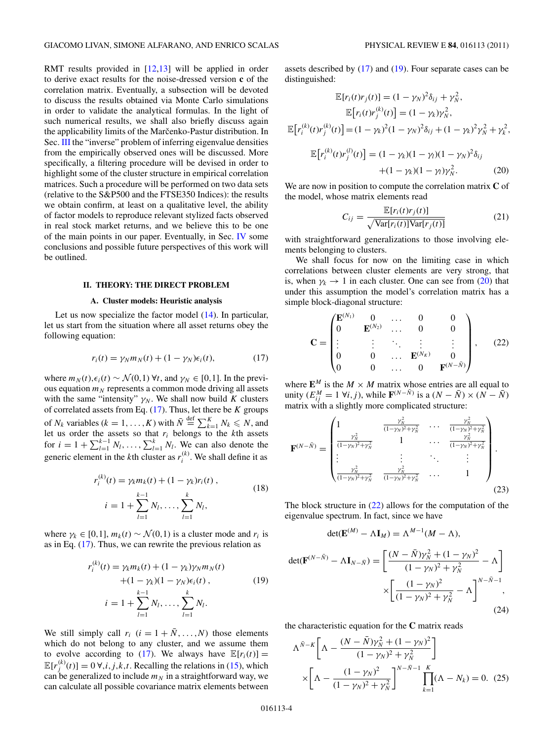<span id="page-4-0"></span>RMT results provided in  $[12,13]$  will be applied in order to derive exact results for the noise-dressed version **c** of the correlation matrix. Eventually, a subsection will be devoted to discuss the results obtained via Monte Carlo simulations in order to validate the analytical formulas. In the light of such numerical results, we shall also briefly discuss again the applicability limits of the Marčenko-Pastur distribution. In Sec. [III](#page-6-0) the "inverse" problem of inferring eigenvalue densities from the empirically observed ones will be discussed. More specifically, a filtering procedure will be devised in order to highlight some of the cluster structure in empirical correlation matrices. Such a procedure will be performed on two data sets (relative to the S&P500 and the FTSE350 Indices): the results we obtain confirm, at least on a qualitative level, the ability of factor models to reproduce relevant stylized facts observed in real stock market returns, and we believe this to be one of the main points in our paper. Eventually, in Sec. [IV](#page-11-0) some conclusions and possible future perspectives of this work will be outlined.

#### **II. THEORY: THE DIRECT PROBLEM**

#### **A. Cluster models: Heuristic analysis**

Let us now specialize the factor model  $(14)$ . In particular, let us start from the situation where all asset returns obey the following equation:

$$
r_i(t) = \gamma_N m_N(t) + (1 - \gamma_N)\epsilon_i(t), \qquad (17)
$$

where  $m_N(t), \epsilon_i(t) \sim \mathcal{N}(0,1)$   $\forall t$ , and  $\gamma_N \in [0,1]$ . In the previous equation  $m_N$  represents a common mode driving all assets with the same "intensity"  $\gamma_N$ . We shall now build K clusters of correlated assets from Eq.  $(17)$ . Thus, let there be K groups of  $N_k$  variables  $(k = 1, ..., K)$  with  $\bar{N} \stackrel{\text{def}}{=} \sum_{k=1}^{K} N_k \le N$ , and let us order the assets so that  $r_i$  belongs to the kth assets for  $i = 1 + \sum_{l=1}^{k-1} N_l, \ldots, \sum_{l=1}^k N_l$ . We can also denote the generic element in the *k*th cluster as  $r_i^{(k)}$ . We shall define it as

$$
r_i^{(k)}(t) = \gamma_k m_k(t) + (1 - \gamma_k) r_i(t),
$$
  
\n
$$
i = 1 + \sum_{l=1}^{k-1} N_l, \dots, \sum_{l=1}^{k} N_l,
$$
\n(18)

where  $\gamma_k \in [0,1]$ ,  $m_k(t) \sim \mathcal{N}(0,1)$  is a cluster mode and  $r_i$  is as in Eq. [\(17\)](#page-3-0). Thus, we can rewrite the previous relation as

$$
r_i^{(k)}(t) = \gamma_k m_k(t) + (1 - \gamma_k) \gamma_N m_N(t) + (1 - \gamma_k)(1 - \gamma_N) \epsilon_i(t) ,
$$
\n
$$
i = 1 + \sum_{l=1}^{k-1} N_l, \dots, \sum_{l=1}^{k} N_l.
$$
\n(19)

We still simply call  $r_i$   $(i = 1 + \overline{N}, \ldots, N)$  those elements which do not belong to any cluster, and we assume them to evolve according to [\(17\)](#page-3-0). We always have  $\mathbb{E}[r_i(t)] =$  $\mathbb{E}[r_j^{(k)}(t)] = 0 \forall i, j, k, t$ . Recalling the relations in [\(15\)](#page-1-0), which can be generalized to include  $m_N$  in a straightforward way, we can calculate all possible covariance matrix elements between

assets described by [\(17\)](#page-3-0) and [\(19\)](#page-3-0). Four separate cases can be distinguished:

$$
\mathbb{E}[r_i(t)r_j(t)] = (1 - \gamma_N)^2 \delta_{ij} + \gamma_N^2,
$$
  
\n
$$
\mathbb{E}[r_i(t)r_j^{(k)}(t)] = (1 - \gamma_k)\gamma_N^2,
$$
  
\n
$$
\mathbb{E}[r_i^{(k)}(t)r_j^{(k)}(t)] = (1 - \gamma_k)^2(1 - \gamma_N)^2 \delta_{ij} + (1 - \gamma_k)^2 \gamma_N^2 + \gamma_k^2,
$$
  
\n
$$
\mathbb{E}[r_i^{(k)}(t)r_j^{(l)}(t)] = (1 - \gamma_k)(1 - \gamma_l)(1 - \gamma_N)^2 \delta_{ij}
$$
  
\n
$$
+ (1 - \gamma_k)(1 - \gamma_l)\gamma_N^2.
$$
 (20)

We are now in position to compute the correlation matrix **C** of the model, whose matrix elements read

$$
C_{ij} = \frac{\mathbb{E}[r_i(t)r_j(t)]}{\sqrt{\text{Var}[r_i(t)]\text{Var}[r_j(t)]}}
$$
(21)

with straightforward generalizations to those involving elements belonging to clusters.

We shall focus for now on the limiting case in which correlations between cluster elements are very strong, that is, when  $\gamma_k \to 1$  in each cluster. One can see from [\(20\)](#page-3-0) that under this assumption the model's correlation matrix has a simple block-diagonal structure:

$$
\mathbf{C} = \begin{pmatrix} \mathbf{E}^{(N_1)} & 0 & \dots & 0 & 0 \\ 0 & \mathbf{E}^{(N_2)} & \dots & 0 & 0 \\ \vdots & \vdots & \ddots & \vdots & \vdots \\ 0 & 0 & \dots & \mathbf{E}^{(N_K)} & 0 \\ 0 & 0 & \dots & 0 & \mathbf{F}^{(N-\bar{N})} \end{pmatrix}, \quad (22)
$$

where  $\mathbf{E}^M$  is the  $M \times M$  matrix whose entries are all equal to unity  $(E_{ij}^M = 1 \forall i, j)$ , while  $\mathbf{F}^{(N-\bar{N})}$  is a  $(N-\bar{N}) \times (N-\bar{N})$ matrix with a slightly more complicated structure:

$$
\mathbf{F}^{(N-\bar{N})} = \begin{pmatrix} 1 & \frac{\gamma_N^2}{(1-\gamma_N)^2 + \gamma_N^2} & \cdots & \frac{\gamma_N^2}{(1-\gamma_N)^2 + \gamma_N^2} \\ \frac{\gamma_N^2}{(1-\gamma_N)^2 + \gamma_N^2} & 1 & \cdots & \frac{\gamma_N^2}{(1-\gamma_N)^2 + \gamma_N^2} \\ \vdots & \vdots & \ddots & \vdots \\ \frac{\gamma_N^2}{(1-\gamma_N)^2 + \gamma_N^2} & \frac{\gamma_N^2}{(1-\gamma_N)^2 + \gamma_N^2} & \cdots & 1 \end{pmatrix}
$$
(23)

The block structure in [\(22\)](#page-3-0) allows for the computation of the eigenvalue spectrum. In fact, since we have

$$
\det(\mathbf{E}^{(M)} - \Lambda \mathbf{I}_M) = \Lambda^{M-1}(M - \Lambda),
$$

$$
\det(\mathbf{F}^{(N-\bar{N})} - \Lambda \mathbf{I}_{N-\bar{N}}) = \left[ \frac{(N-\bar{N})\gamma_N^2 + (1-\gamma_N)^2}{(1-\gamma_N)^2 + \gamma_N^2} - \Lambda \right] \times \left[ \frac{(1-\gamma_N)^2}{(1-\gamma_N)^2 + \gamma_N^2} - \Lambda \right]^{N-\bar{N}-1},
$$
\n(24)

the characteristic equation for the **C** matrix reads

$$
\Lambda^{\bar{N}-K} \left[ \Lambda - \frac{(N-\bar{N})\gamma_N^2 + (1-\gamma_N)^2}{(1-\gamma_N)^2 + \gamma_N^2} \right] \times \left[ \Lambda - \frac{(1-\gamma_N)^2}{(1-\gamma_N)^2 + \gamma_N^2} \right]^{N-\bar{N}-1} \prod_{k=1}^K (\Lambda - N_k) = 0. \tag{25}
$$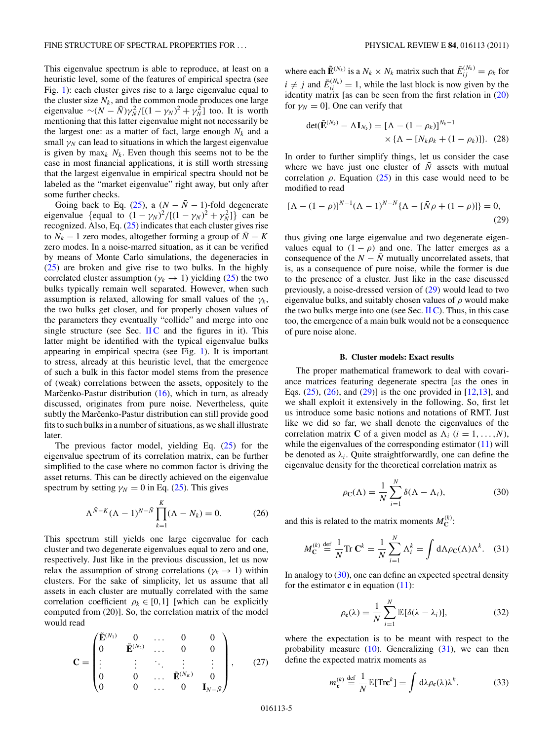<span id="page-5-0"></span>This eigenvalue spectrum is able to reproduce, at least on a heuristic level, some of the features of empirical spectra (see Fig. [1\)](#page-2-0): each cluster gives rise to a large eigenvalue equal to the cluster size  $N_k$ , and the common mode produces one large eigenvalue  $\sim (N - \bar{N}) \gamma_N^2 / [(1 - \gamma_N)^2 + \gamma_N^2]$  too. It is worth mentioning that this latter eigenvalue might not necessarily be the largest one: as a matter of fact, large enough  $N_k$  and a small  $\gamma_N$  can lead to situations in which the largest eigenvalue is given by max<sub>k</sub>  $N_k$ . Even though this seems not to be the case in most financial applications, it is still worth stressing that the largest eigenvalue in empirical spectra should not be labeled as the "market eigenvalue" right away, but only after some further checks.

Going back to Eq. [\(25\)](#page-3-0), a ( $N - \overline{N} - 1$ )-fold degenerate eigenvalue {equal to  $(1 - \gamma_N)^2 / [(1 - \gamma_N)^2 + \gamma_N^2]$ } can be recognized. Also, Eq. [\(25\)](#page-3-0) indicates that each cluster gives rise to  $N_k - 1$  zero modes, altogether forming a group of  $\overline{N} - K$ zero modes. In a noise-marred situation, as it can be verified by means of Monte Carlo simulations, the degeneracies in [\(25\)](#page-3-0) are broken and give rise to two bulks. In the highly correlated cluster assumption ( $\gamma_k \rightarrow 1$ ) yielding [\(25\)](#page-3-0) the two bulks typically remain well separated. However, when such assumption is relaxed, allowing for small values of the  $\gamma_k$ , the two bulks get closer, and for properly chosen values of the parameters they eventually "collide" and merge into one single structure (see Sec.  $\Pi C$  and the figures in it). This latter might be identified with the typical eigenvalue bulks appearing in empirical spectra (see Fig. [1\)](#page-2-0). It is important to stress, already at this heuristic level, that the emergence of such a bulk in this factor model stems from the presence of (weak) correlations between the assets, oppositely to the Marčenko-Pastur distribution  $(16)$  $(16)$ , which in turn, as already discussed, originates from pure noise. Nevertheless, quite subtly the Marčenko-Pastur distribution can still provide good fits to such bulks in a number of situations, as we shall illustrate later.

The previous factor model, yielding Eq. [\(25\)](#page-3-0) for the eigenvalue spectrum of its correlation matrix, can be further simplified to the case where no common factor is driving the asset returns. This can be directly achieved on the eigenvalue spectrum by setting  $\gamma_N = 0$  in Eq. [\(25\)](#page-3-0). This gives

$$
\Lambda^{\bar{N}-K} (\Lambda - 1)^{N-\bar{N}} \prod_{k=1}^{K} (\Lambda - N_k) = 0.
$$
 (26)

This spectrum still yields one large eigenvalue for each cluster and two degenerate eigenvalues equal to zero and one, respectively. Just like in the previous discussion, let us now relax the assumption of strong correlations ( $\gamma_k \rightarrow 1$ ) within clusters. For the sake of simplicity, let us assume that all assets in each cluster are mutually correlated with the same correlation coefficient  $\rho_k \in [0,1]$  [which can be explicitly computed from (20)]. So, the correlation matrix of the model would read

$$
\mathbf{C} = \begin{pmatrix} \tilde{\mathbf{E}}^{(N_1)} & 0 & \dots & 0 & 0 \\ 0 & \tilde{\mathbf{E}}^{(N_2)} & \dots & 0 & 0 \\ \vdots & \vdots & \ddots & \vdots & \vdots \\ 0 & 0 & \dots & \tilde{\mathbf{E}}^{(N_k)} & 0 \\ 0 & 0 & \dots & 0 & \mathbf{I}_{N-\bar{N}} \end{pmatrix}, \qquad (27)
$$

where each  $\tilde{\mathbf{E}}^{(N_k)}$  is a  $N_k \times N_k$  matrix such that  $\tilde{E}_{ij}^{(N_k)} = \rho_k$  for  $i \neq j$  and  $\tilde{E}_{ii}^{(N_k)} = 1$ , while the last block is now given by the identity matrix [as can be seen from the first relation in [\(20\)](#page-3-0) for  $\gamma_N = 0$ ]. One can verify that

$$
\det(\tilde{\mathbf{E}}^{(N_k)} - \Lambda \mathbf{I}_{N_k}) = [\Lambda - (1 - \rho_k)]^{N_k - 1}
$$

$$
\times {\{\Lambda - [N_k \rho_k + (1 - \rho_k)]\}}.
$$
 (28)

In order to further simplify things, let us consider the case where we have just one cluster of  $\overline{N}$  assets with mutual correlation  $\rho$ . Equation [\(25\)](#page-3-0) in this case would need to be modified to read

$$
[\Lambda - (1 - \rho)]^{\bar{N}-1} (\Lambda - 1)^{N - \bar{N}} \{ \Lambda - [\bar{N}\rho + (1 - \rho)] \} = 0,
$$
\n(29)

thus giving one large eigenvalue and two degenerate eigenvalues equal to  $(1 - \rho)$  and one. The latter emerges as a consequence of the  $N - \overline{N}$  mutually uncorrelated assets, that is, as a consequence of pure noise, while the former is due to the presence of a cluster. Just like in the case discussed previously, a noise-dressed version of [\(29\)](#page-4-0) would lead to two eigenvalue bulks, and suitably chosen values of  $\rho$  would make the two bulks merge into one (see Sec.  $\Pi C$ ). Thus, in this case too, the emergence of a main bulk would not be a consequence of pure noise alone.

#### **B. Cluster models: Exact results**

The proper mathematical framework to deal with covariance matrices featuring degenerate spectra [as the ones in Eqs.  $(25)$ ,  $(26)$ , and  $(29)$ ] is the one provided in [\[12,13\]](#page-12-0), and we shall exploit it extensively in the following. So, first let us introduce some basic notions and notations of RMT. Just like we did so far, we shall denote the eigenvalues of the correlation matrix **C** of a given model as  $\Lambda_i$  ( $i = 1, ..., N$ ), while the eigenvalues of the corresponding estimator  $(11)$  will be denoted as  $\lambda_i$ . Quite straightforwardly, one can define the eigenvalue density for the theoretical correlation matrix as

$$
\rho_{\mathbf{C}}(\Lambda) = \frac{1}{N} \sum_{i=1}^{N} \delta(\Lambda - \Lambda_i), \tag{30}
$$

and this is related to the matrix moments  $M_C^{(k)}$ :

$$
M_{\mathbf{C}}^{(k)} \stackrel{\text{def}}{=} \frac{1}{N} \text{Tr } \mathbf{C}^k = \frac{1}{N} \sum_{i=1}^N \Lambda_i^k = \int d\Lambda \rho_{\mathbf{C}}(\Lambda) \Lambda^k. \quad (31)
$$

In analogy to  $(30)$ , one can define an expected spectral density for the estimator  $\bf{c}$  in equation  $(11)$ :

$$
\rho_{\mathbf{c}}(\lambda) = \frac{1}{N} \sum_{i=1}^{N} \mathbb{E}[\delta(\lambda - \lambda_i)], \qquad (32)
$$

where the expectation is to be meant with respect to the probability measure  $(10)$ . Generalizing  $(31)$ , we can then define the expected matrix moments as

$$
m_{\mathbf{c}}^{(k)} \stackrel{\text{def}}{=} \frac{1}{N} \mathbb{E}[\text{Tr}\mathbf{c}^k] = \int d\lambda \rho_{\mathbf{c}}(\lambda) \lambda^k. \tag{33}
$$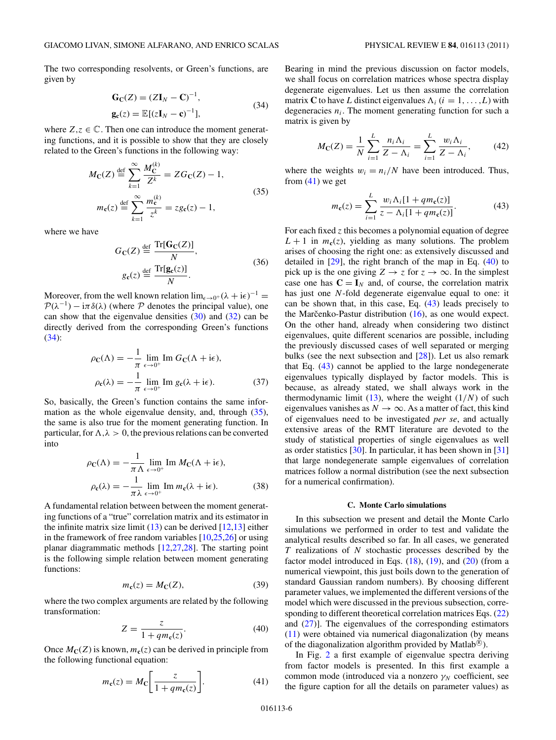<span id="page-6-0"></span>The two corresponding resolvents, or Green's functions, are given by

$$
\mathbf{G}_{\mathbf{C}}(Z) = (Z\mathbf{I}_N - \mathbf{C})^{-1},
$$
  
\n
$$
\mathbf{g}_{\mathbf{c}}(z) = \mathbb{E}[(z\mathbf{I}_N - \mathbf{c})^{-1}],
$$
\n(34)

where  $Z, z \in \mathbb{C}$ . Then one can introduce the moment generating functions, and it is possible to show that they are closely related to the Green's functions in the following way:

$$
M_{\rm C}(Z) \stackrel{\text{def}}{=} \sum_{k=1}^{\infty} \frac{M_{\rm C}^{(k)}}{Z^k} = Z G_{\rm C}(Z) - 1,
$$
  
\n
$$
m_{\rm C}(z) \stackrel{\text{def}}{=} \sum_{k=1}^{\infty} \frac{m_{\rm C}^{(k)}}{z^k} = z g_{\rm C}(z) - 1,
$$
\n(35)

where we have

$$
G_{\mathbf{C}}(Z) \stackrel{\text{def}}{=} \frac{\text{Tr}[\mathbf{G}_{\mathbf{C}}(Z)]}{N},
$$
  
\n
$$
g_{\mathbf{c}}(z) \stackrel{\text{def}}{=} \frac{\text{Tr}[\mathbf{g}_{\mathbf{c}}(z)]}{N}.
$$
\n(36)

Moreover, from the well known relation  $\lim_{\epsilon \to 0^+} (\lambda + i\epsilon)^{-1} =$  $\mathcal{P}(\lambda^{-1}) - i\pi \delta(\lambda)$  (where  $\mathcal P$  denotes the principal value), one can show that the eigenvalue densities  $(30)$  and  $(32)$  can be directly derived from the corresponding Green's functions [\(34\)](#page-5-0):

$$
\rho_{\mathbf{C}}(\Lambda) = -\frac{1}{\pi} \lim_{\epsilon \to 0^{+}} \text{Im } G_{\mathbf{C}}(\Lambda + i\epsilon),
$$

$$
\rho_{\mathbf{C}}(\lambda) = -\frac{1}{\pi} \lim_{\epsilon \to 0^{+}} \text{Im } g_{\mathbf{C}}(\lambda + i\epsilon).
$$
(37)

So, basically, the Green's function contains the same information as the whole eigenvalue density, and, through [\(35\)](#page-5-0), the same is also true for the moment generating function. In particular, for  $\Lambda, \lambda > 0$ , the previous relations can be converted into

$$
\rho_{\mathbf{C}}(\Lambda) = -\frac{1}{\pi \Lambda} \lim_{\epsilon \to 0^+} \text{Im } M_{\mathbf{C}}(\Lambda + i\epsilon),
$$
  
\n
$$
\rho_{\mathbf{C}}(\lambda) = -\frac{1}{\pi \lambda} \lim_{\epsilon \to 0^+} \text{Im } m_{\mathbf{C}}(\lambda + i\epsilon).
$$
 (38)

A fundamental relation between between the moment generating functions of a "true" correlation matrix and its estimator in the infinite matrix size limit  $(13)$  can be derived  $[12,13]$  either in the framework of free random variables  $[10,25,26]$  or using planar diagrammatic methods [\[12,27,28\]](#page-12-0). The starting point is the following simple relation between moment generating functions:

$$
m_{\mathbf{c}}(z) = M_{\mathbf{C}}(Z),\tag{39}
$$

where the two complex arguments are related by the following transformation:

$$
Z = \frac{z}{1 + qm_{\mathbf{c}}(z)}.\tag{40}
$$

Once  $M_C(Z)$  is known,  $m_c(z)$  can be derived in principle from the following functional equation:

$$
m_{\mathbf{c}}(z) = M_{\mathbf{C}} \bigg[ \frac{z}{1 + q m_{\mathbf{c}}(z)} \bigg]. \tag{41}
$$

Bearing in mind the previous discussion on factor models, we shall focus on correlation matrices whose spectra display degenerate eigenvalues. Let us then assume the correlation matrix **C** to have L distinct eigenvalues  $\Lambda_i$  ( $i = 1, ..., L$ ) with degeneracies  $n_i$ . The moment generating function for such a matrix is given by

$$
M_{\rm C}(Z) = \frac{1}{N} \sum_{i=1}^{L} \frac{n_i \Lambda_i}{Z - \Lambda_i} = \sum_{i=1}^{L} \frac{w_i \Lambda_i}{Z - \Lambda_i},
$$
(42)

where the weights  $w_i = n_i/N$  have been introduced. Thus, from  $(41)$  we get

$$
m_{\mathbf{c}}(z) = \sum_{i=1}^{L} \frac{w_i \Lambda_i [1 + qm_{\mathbf{c}}(z)]}{z - \Lambda_i [1 + qm_{\mathbf{c}}(z)]}.
$$
 (43)

For each fixed  $\zeta$  this becomes a polynomial equation of degree  $L + 1$  in  $m_c(z)$ , yielding as many solutions. The problem arises of choosing the right one: as extensively discussed and detailed in [\[29\]](#page-12-0), the right branch of the map in Eq. [\(40\)](#page-5-0) to pick up is the one giving  $Z \rightarrow z$  for  $z \rightarrow \infty$ . In the simplest case one has  $C = I_N$  and, of course, the correlation matrix has just one N-fold degenerate eigenvalue equal to one: it can be shown that, in this case, Eq. [\(43\)](#page-5-0) leads precisely to the Marcenko-Pastur distribution  $(16)$  $(16)$ , as one would expect. On the other hand, already when considering two distinct eigenvalues, quite different scenarios are possible, including the previously discussed cases of well separated or merging bulks (see the next subsection and [\[28\]](#page-12-0)). Let us also remark that Eq. [\(43\)](#page-5-0) cannot be applied to the large nondegenerate eigenvalues typically displayed by factor models. This is because, as already stated, we shall always work in the thermodynamic limit [\(13\)](#page-1-0), where the weight  $(1/N)$  of such eigenvalues vanishes as  $N \to \infty$ . As a matter of fact, this kind of eigenvalues need to be investigated *per se*, and actually extensive areas of the RMT literature are devoted to the study of statistical properties of single eigenvalues as well as order statistics  $[30]$ . In particular, it has been shown in  $[31]$ that large nondegenerate sample eigenvalues of correlation matrices follow a normal distribution (see the next subsection for a numerical confirmation).

#### **C. Monte Carlo simulations**

In this subsection we present and detail the Monte Carlo simulations we performed in order to test and validate the analytical results described so far. In all cases, we generated  $T$  realizations of  $N$  stochastic processes described by the factor model introduced in Eqs.  $(18)$ ,  $(19)$ , and  $(20)$  (from a numerical viewpoint, this just boils down to the generation of standard Gaussian random numbers). By choosing different parameter values, we implemented the different versions of the model which were discussed in the previous subsection, corresponding to different theoretical correlation matrices Eqs. [\(22\)](#page-3-0) and  $(27)$ ]. The eigenvalues of the corresponding estimators [\(11\)](#page-1-0) were obtained via numerical diagonalization (by means of the diagonalization algorithm provided by Matlab®).

In Fig. 2 a first example of eigenvalue spectra deriving from factor models is presented. In this first example a common mode (introduced via a nonzero  $\gamma_N$  coefficient, see the figure caption for all the details on parameter values) as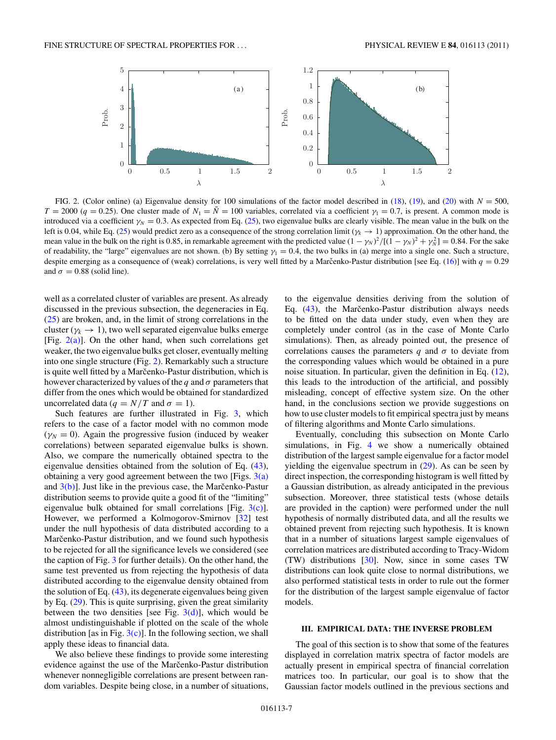<span id="page-7-0"></span>

FIG. 2. (Color online) (a) Eigenvalue density for 100 simulations of the factor model described in [\(18\)](#page-3-0), [\(19\)](#page-3-0), and [\(20\)](#page-3-0) with  $N = 500$ ,  $T = 2000$  (q = 0.25). One cluster made of  $N_1 = \overline{N} = 100$  variables, correlated via a coefficient  $\gamma_1 = 0.7$ , is present. A common mode is introduced via a coefficient  $\gamma_N = 0.3$ . As expected from Eq. [\(25\)](#page-3-0), two eigenvalue bulks are clearly visible. The mean value in the bulk on the left is 0.04, while Eq. [\(25\)](#page-3-0) would predict zero as a consequence of the strong correlation limit ( $\gamma_k \to 1$ ) approximation. On the other hand, the mean value in the bulk on the right is 0.85, in remarkable agreement with the predicted value  $(1 - \gamma_N)^2 / [(1 - \gamma_N)^2 + \gamma_N^2] = 0.84$ . For the sake of readability, the "large" eigenvalues are not shown. (b) By setting  $\gamma_1 = 0.4$ , the two bulks in (a) merge into a single one. Such a structure, despite emerging as a consequence of (weak) correlations, is very well fitted by a Marcenko-Pastur distribution [see Eq. ([16\)](#page-2-0)] with  $q = 0.29$ and  $\sigma = 0.88$  (solid line).

well as a correlated cluster of variables are present. As already discussed in the previous subsection, the degeneracies in Eq. [\(25\)](#page-3-0) are broken, and, in the limit of strong correlations in the cluster ( $\gamma_k \rightarrow 1$ ), two well separated eigenvalue bulks emerge [Fig.  $2(a)$ ]. On the other hand, when such correlations get weaker, the two eigenvalue bulks get closer, eventually melting into one single structure (Fig. [2\)](#page-6-0). Remarkably such a structure is quite well fitted by a Marčenko-Pastur distribution, which is however characterized by values of the q and  $\sigma$  parameters that differ from the ones which would be obtained for standardized uncorrelated data ( $q = N/T$  and  $\sigma = 1$ ).

Such features are further illustrated in Fig. 3, which refers to the case of a factor model with no common mode  $(\gamma_N = 0)$ . Again the progressive fusion (induced by weaker correlations) between separated eigenvalue bulks is shown. Also, we compare the numerically obtained spectra to the eigenvalue densities obtained from the solution of Eq. [\(43\)](#page-5-0), obtaining a very good agreement between the two [Figs.  $3(a)$ ] and  $3(b)$ ]. Just like in the previous case, the Marcenko-Pastur distribution seems to provide quite a good fit of the "limiting" eigenvalue bulk obtained for small correlations [Fig.  $3(c)$ ]. However, we performed a Kolmogorov-Smirnov [\[32\]](#page-12-0) test under the null hypothesis of data distributed according to a Marčenko-Pastur distribution, and we found such hypothesis to be rejected for all the significance levels we considered (see the caption of Fig. 3 for further details). On the other hand, the same test prevented us from rejecting the hypothesis of data distributed according to the eigenvalue density obtained from the solution of Eq. [\(43\)](#page-5-0), its degenerate eigenvalues being given by Eq. [\(29\)](#page-4-0). This is quite surprising, given the great similarity between the two densities [see Fig.  $3(d)$ ], which would be almost undistinguishable if plotted on the scale of the whole distribution [as in Fig.  $3(c)$ ]. In the following section, we shall apply these ideas to financial data.

We also believe these findings to provide some interesting evidence against the use of the Marčenko-Pastur distribution whenever nonnegligible correlations are present between random variables. Despite being close, in a number of situations,

to the eigenvalue densities deriving from the solution of Eq.  $(43)$ , the Marcenko-Pastur distribution always needs to be fitted on the data under study, even when they are completely under control (as in the case of Monte Carlo simulations). Then, as already pointed out, the presence of correlations causes the parameters q and  $\sigma$  to deviate from the corresponding values which would be obtained in a pure noise situation. In particular, given the definition in Eq. [\(12\)](#page-1-0), this leads to the introduction of the artificial, and possibly misleading, concept of effective system size. On the other hand, in the conclusions section we provide suggestions on how to use cluster models to fit empirical spectra just by means of filtering algorithms and Monte Carlo simulations.

Eventually, concluding this subsection on Monte Carlo simulations, in Fig. [4](#page-8-0) we show a numerically obtained distribution of the largest sample eigenvalue for a factor model yielding the eigenvalue spectrum in [\(29\)](#page-4-0). As can be seen by direct inspection, the corresponding histogram is well fitted by a Gaussian distribution, as already anticipated in the previous subsection. Moreover, three statistical tests (whose details are provided in the caption) were performed under the null hypothesis of normally distributed data, and all the results we obtained prevent from rejecting such hypothesis. It is known that in a number of situations largest sample eigenvalues of correlation matrices are distributed according to Tracy-Widom (TW) distributions [\[30\]](#page-12-0). Now, since in some cases TW distributions can look quite close to normal distributions, we also performed statistical tests in order to rule out the former for the distribution of the largest sample eigenvalue of factor models.

#### **III. EMPIRICAL DATA: THE INVERSE PROBLEM**

The goal of this section is to show that some of the features displayed in correlation matrix spectra of factor models are actually present in empirical spectra of financial correlation matrices too. In particular, our goal is to show that the Gaussian factor models outlined in the previous sections and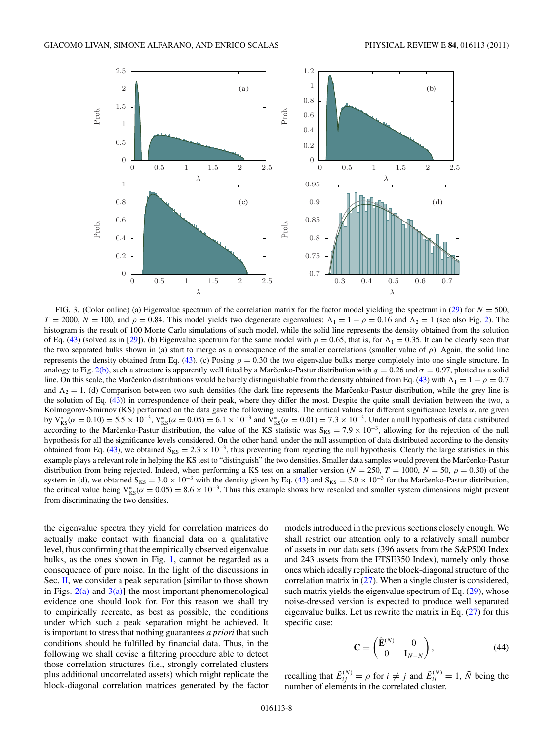<span id="page-8-0"></span>

FIG. 3. (Color online) (a) Eigenvalue spectrum of the correlation matrix for the factor model yielding the spectrum in [\(29\)](#page-4-0) for  $N = 500$ ,  $T = 2000$ ,  $\bar{N} = 100$ , and  $\rho = 0.84$ . This model yields two degenerate eigenvalues:  $\Lambda_1 = 1 - \rho = 0.16$  and  $\Lambda_2 = 1$  (see also Fig. [2\)](#page-6-0). The histogram is the result of 100 Monte Carlo simulations of such model, while the solid line represents the density obtained from the solution of Eq. [\(43\)](#page-5-0) (solved as in [\[29\]](#page-12-0)). (b) Eigenvalue spectrum for the same model with  $\rho = 0.65$ , that is, for  $\Lambda_1 = 0.35$ . It can be clearly seen that the two separated bulks shown in (a) start to merge as a consequence of the smaller correlations (smaller value of  $\rho$ ). Again, the solid line represents the density obtained from Eq. [\(43\)](#page-5-0). (c) Posing  $\rho = 0.30$  the two eigenvalue bulks merge completely into one single structure. In analogy to Fig. [2\(b\),](#page-6-0) such a structure is apparently well fitted by a Marcenko-Pastur distribution with  $q = 0.26$  and  $\sigma = 0.97$ , plotted as a solid line. On this scale, the Marcenko distributions would be barely distinguishable from the density obtained from Eq. ([43\)](#page-5-0) with  $\Lambda_1 = 1 - \rho = 0.7$ and  $\Lambda_2 = 1$ . (d) Comparison between two such densities (the dark line represents the Marcenko-Pastur distribution, while the grey line is the solution of Eq. [\(43\)](#page-5-0)) in correspondence of their peak, where they differ the most. Despite the quite small deviation between the two, a Kolmogorov-Smirnov (KS) performed on the data gave the following results. The critical values for different significance levels  $\alpha$ , are given by V<sup>\*</sup><sub>KS</sub>(α = 0.10) = 5.5 × 10<sup>-3</sup>, V<sup>\*</sup><sub>KS</sub>(α = 0.05) = 6.1 × 10<sup>-3</sup> and V<sup>\*</sup><sub>KS</sub>(α = 0.01) = 7.3 × 10<sup>-3</sup>. Under a null hypothesis of data distributed according to the Marcenko-Pastur distribution, the value of the KS statistic was  $S_{KS} = 7.9 \times 10^{-3}$ , allowing for the rejection of the null hypothesis for all the significance levels considered. On the other hand, under the null assumption of data distributed according to the density obtained from Eq. [\(43\)](#page-5-0), we obtained  $S_{KS} = 2.3 \times 10^{-3}$ , thus preventing from rejecting the null hypothesis. Clearly the large statistics in this example plays a relevant role in helping the KS test to "distinguish" the two densities. Smaller data samples would prevent the Marcenko-Pastur distribution from being rejected. Indeed, when performing a KS test on a smaller version ( $N = 250$ ,  $T = 1000$ ,  $\bar{N} = 50$ ,  $\rho = 0.30$ ) of the system in (d), we obtained  $S_{KS} = 3.0 \times 10^{-3}$  with the density given by Eq. [\(43\)](#page-5-0) and  $S_{KS} = 5.0 \times 10^{-3}$  for the Marcenko-Pastur distribution, the critical value being  $V_{KS}^*(\alpha = 0.05) = 8.6 \times 10^{-3}$ . Thus this example shows how rescaled and smaller system dimensions might prevent from discriminating the two densities.

the eigenvalue spectra they yield for correlation matrices do actually make contact with financial data on a qualitative level, thus confirming that the empirically observed eigenvalue bulks, as the ones shown in Fig. [1,](#page-2-0) cannot be regarded as a consequence of pure noise. In the light of the discussions in Sec. [II,](#page-3-0) we consider a peak separation [similar to those shown in Figs.  $2(a)$  and  $3(a)$ ] the most important phenomenological evidence one should look for. For this reason we shall try to empirically recreate, as best as possible, the conditions under which such a peak separation might be achieved. It is important to stress that nothing guarantees *a priori* that such conditions should be fulfilled by financial data. Thus, in the following we shall devise a filtering procedure able to detect those correlation structures (i.e., strongly correlated clusters plus additional uncorrelated assets) which might replicate the block-diagonal correlation matrices generated by the factor models introduced in the previous sections closely enough. We shall restrict our attention only to a relatively small number of assets in our data sets (396 assets from the S&P500 Index and 243 assets from the FTSE350 Index), namely only those ones which ideally replicate the block-diagonal structure of the correlation matrix in [\(27\)](#page-4-0). When a single cluster is considered, such matrix yields the eigenvalue spectrum of Eq.  $(29)$ , whose noise-dressed version is expected to produce well separated eigenvalue bulks. Let us rewrite the matrix in Eq. [\(27\)](#page-4-0) for this specific case:

$$
\mathbf{C} = \begin{pmatrix} \tilde{\mathbf{E}}^{(\tilde{N})} & 0 \\ 0 & \mathbf{I}_{N-\tilde{N}} \end{pmatrix},\tag{44}
$$

recalling that  $\tilde{E}_{ij}^{(\bar{N})} = \rho$  for  $i \neq j$  and  $\tilde{E}_{ii}^{(\bar{N})} = 1$ ,  $\bar{N}$  being the number of elements in the correlated cluster.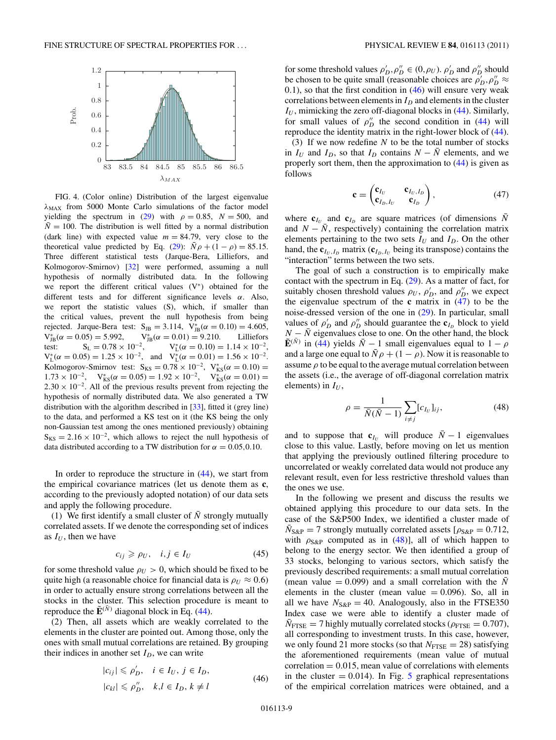<span id="page-9-0"></span>

FIG. 4. (Color online) Distribution of the largest eigenvalue  $\lambda_{MAX}$  from 5000 Monte Carlo simulations of the factor model yielding the spectrum in [\(29\)](#page-4-0) with  $\rho = 0.85$ ,  $N = 500$ , and  $\overline{N} = 100$ . The distribution is well fitted by a normal distribution (dark line) with expected value  $m = 84.79$ , very close to the theoretical value predicted by Eq. [\(29\)](#page-4-0):  $\bar{N}\rho + (1 - \rho) = 85.15$ . Three different statistical tests (Jarque-Bera, Lilliefors, and Kolmogorov-Smirnov) [\[32\]](#page-12-0) were performed, assuming a null hypothesis of normally distributed data. In the following we report the different critical values (V<sup>∗</sup> ) obtained for the different tests and for different significance levels  $\alpha$ . Also, we report the statistic values (S), which, if smaller than the critical values, prevent the null hypothesis from being rejected. Jarque-Bera test:  $S_{JB} = 3.114$ ,  $V_{JB}^{*}(\alpha = 0.10) = 4.605$ ,  $V_{JB}^*(\alpha = 0.05) = 5.992,$   $V_{J}^*$  $V_{JB}^{*}(\alpha = 0.01) = 9.210.$  Lilliefors test:  $S_L = 0.78 \times 10^{-2}$ ,  $V_L^*(\alpha = 0.10) = 1.14 \times 10^{-2}$  $V_L^*(\alpha = 0.05) = 1.25 \times 10^{-2}$ , and  $V_L^*(\alpha = 0.01) = 1.56 \times 10^{-2}$ . Kolmogorov-Smirnov test:  $S_{KS} = 0.78 \times 10^{-2}$ ,  $V_{KS}^* (\alpha = 0.10) =$  $1.73 \times 10^{-2}$ ,  $V_{KS}^*(\alpha = 0.05) = 1.92 \times 10^{-2}$ ,  $V_{KS}^*(\alpha = 0.01) =$  $2.30 \times 10^{-2}$ . All of the previous results prevent from rejecting the hypothesis of normally distributed data. We also generated a TW distribution with the algorithm described in [\[33\]](#page-12-0), fitted it (grey line) to the data, and performed a KS test on it (the KS being the only non-Gaussian test among the ones mentioned previously) obtaining  $S_{KS} = 2.16 \times 10^{-2}$ , which allows to reject the null hypothesis of data distributed according to a TW distribution for  $\alpha = 0.05, 0.10$ .

In order to reproduce the structure in [\(44\)](#page-7-0), we start from the empirical covariance matrices (let us denote them as **c**, according to the previously adopted notation) of our data sets and apply the following procedure.

(1) We first identify a small cluster of  $\overline{N}$  strongly mutually correlated assets. If we denote the corresponding set of indices as  $I_U$ , then we have

$$
c_{ij} \geq \rho_U, \quad i, j \in I_U \tag{45}
$$

for some threshold value  $\rho_U > 0$ , which should be fixed to be quite high (a reasonable choice for financial data is  $\rho_U \approx 0.6$ ) in order to actually ensure strong correlations between all the stocks in the cluster. This selection procedure is meant to reproduce the  $\tilde{\mathbf{E}}^{(\bar{N})}$  diagonal block in Eq. [\(44\)](#page-7-0).

(2) Then, all assets which are weakly correlated to the elements in the cluster are pointed out. Among those, only the ones with small mutual correlations are retained. By grouping their indices in another set  $I_D$ , we can write

$$
|c_{ij}| \leq \rho'_D, \quad i \in I_U, \ j \in I_D,
$$
  

$$
|c_{kl}| \leq \rho''_D, \quad k, l \in I_D, \ k \neq l
$$
 (46)

for some threshold values  $\rho'_{D}, \rho''_{D} \in (0, \rho_{U})$ .  $\rho'_{D}$  and  $\rho''_{D}$  should be chosen to be quite small (reasonable choices are  $\rho'_D, \rho''_D \approx$ 0.1), so that the first condition in  $(46)$  will ensure very weak correlations between elements in  $I_D$  and elements in the cluster  $I_U$ , mimicking the zero off-diagonal blocks in  $(44)$ . Similarly, for small values of  $\rho''_D$  the second condition in [\(44\)](#page-7-0) will reproduce the identity matrix in the right-lower block of [\(44\)](#page-7-0).

(3) If we now redefine  $N$  to be the total number of stocks in  $I_U$  and  $I_D$ , so that  $I_D$  contains  $N - \overline{N}$  elements, and we properly sort them, then the approximation to [\(44\)](#page-7-0) is given as follows

$$
\mathbf{c} = \begin{pmatrix} \mathbf{c}_{I_U} & \mathbf{c}_{I_U, I_D} \\ \mathbf{c}_{I_D, I_U} & \mathbf{c}_{I_D} \end{pmatrix}, \tag{47}
$$

where  $\mathbf{c}_{I_U}$  and  $\mathbf{c}_{I_D}$  are square matrices (of dimensions  $\bar{N}$ and  $N - N$ , respectively) containing the correlation matrix elements pertaining to the two sets  $I_U$  and  $I_D$ . On the other hand, the  ${\bf c}_{I_U, I_D}$  matrix ( ${\bf c}_{I_D, I_U}$  being its transpose) contains the "interaction" terms between the two sets.

The goal of such a construction is to empirically make contact with the spectrum in Eq.  $(29)$ . As a matter of fact, for suitably chosen threshold values  $\rho_U$ ,  $\rho'_D$ , and  $\rho''_D$ , we expect the eigenvalue spectrum of the **c** matrix in [\(47\)](#page-8-0) to be the noise-dressed version of the one in [\(29\)](#page-4-0). In particular, small values of  $\rho'_D$  and  $\rho''_D$  should guarantee the  $\mathbf{c}_{I_D}$  block to yield  $N - \overline{N}$  eigenvalues close to one. On the other hand, the block  $\tilde{\mathbf{E}}^{(\bar{N})}$  in [\(44\)](#page-7-0) yields  $\bar{N} - 1$  small eigenvalues equal to  $1 - \rho$ and a large one equal to  $\bar{N}\rho + (1 - \rho)$ . Now it is reasonable to assume  $\rho$  to be equal to the average mutual correlation between the assets (i.e., the average of off-diagonal correlation matrix elements) in  $I_U$ ,

$$
\rho = \frac{1}{\bar{N}(\bar{N}-1)} \sum_{i \neq j} [c_{I_U}]_{ij},\tag{48}
$$

and to suppose that  $c_{I_U}$  will produce  $\overline{N} - 1$  eigenvalues close to this value. Lastly, before moving on let us mention that applying the previously outlined filtering procedure to uncorrelated or weakly correlated data would not produce any relevant result, even for less restrictive threshold values than the ones we use.

In the following we present and discuss the results we obtained applying this procedure to our data sets. In the case of the S&P500 Index, we identified a cluster made of  $\bar{N}_{S\&P} = 7$  strongly mutually correlated assets  $[\rho_{S\&P} = 0.712$ , with  $\rho_{S\&P}$  computed as in [\(48\)](#page-8-0)], all of which happen to belong to the energy sector. We then identified a group of 33 stocks, belonging to various sectors, which satisfy the previously described requirements: a small mutual correlation (mean value = 0.099) and a small correlation with the  $\overline{N}$ elements in the cluster (mean value  $= 0.096$ ). So, all in all we have  $N_{S\&P} = 40$ . Analogously, also in the FTSE350 Index case we were able to identify a cluster made of  $\bar{N}_{\text{FTSE}} = 7$  highly mutually correlated stocks ( $\rho_{\text{FTSE}} = 0.707$ ), all corresponding to investment trusts. In this case, however, we only found 21 more stocks (so that  $N_{\text{FTSE}} = 28$ ) satisfying the aforementioned requirements (mean value of mutual  $correlation = 0.015$ , mean value of correlations with elements in the cluster  $= 0.014$ ). In Fig. 5 graphical representations of the empirical correlation matrices were obtained, and a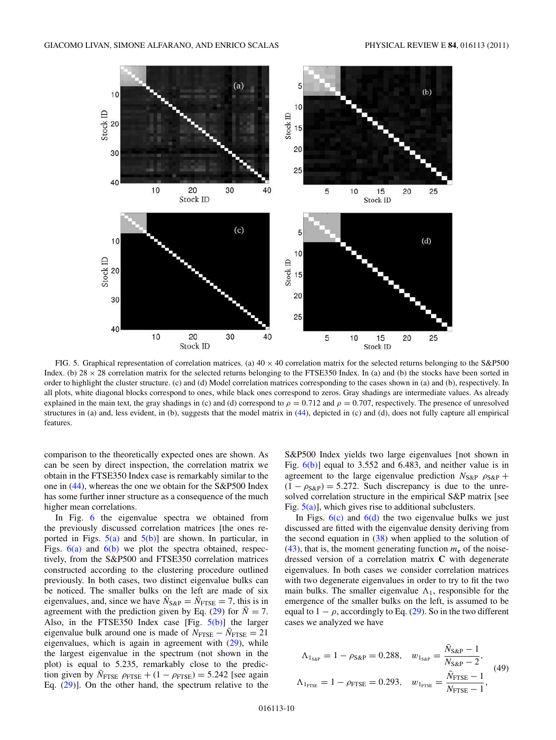<span id="page-10-0"></span>

FIG. 5. Graphical representation of correlation matrices. (a)  $40 \times 40$  correlation matrix for the selected returns belonging to the S&P500 Index. (b)  $28 \times 28$  correlation matrix for the selected returns belonging to the FTSE350 Index. In (a) and (b) the stocks have been sorted in order to highlight the cluster structure. (c) and (d) Model correlation matrices corresponding to the cases shown in (a) and (b), respectively. In all plots, white diagonal blocks correspond to ones, while black ones correspond to zeros. Gray shadings are intermediate values. As already explained in the main text, the gray shadings in (c) and (d) correspond to  $\rho = 0.712$  and  $\rho = 0.707$ , respectively. The presence of unresolved structures in (a) and, less evident, in (b), suggests that the model matrix in [\(44\)](#page-7-0), depicted in (c) and (d), does not fully capture all empirical features.

comparison to the theoretically expected ones are shown. As can be seen by direct inspection, the correlation matrix we obtain in the FTSE350 Index case is remarkably similar to the one in [\(44\)](#page-7-0), whereas the one we obtain for the S&P500 Index has some further inner structure as a consequence of the much higher mean correlations.

In Fig. 6 the eigenvalue spectra we obtained from the previously discussed correlation matrices [the ones reported in Figs.  $5(a)$  and  $5(b)$ ] are shown. In particular, in Figs.  $6(a)$  and  $6(b)$  we plot the spectra obtained, respectively, from the S&P500 and FTSE350 correlation matrices constructed according to the clustering procedure outlined previously. In both cases, two distinct eigenvalue bulks can be noticed. The smaller bulks on the left are made of six eigenvalues, and, since we have  $\bar{N}_{S\&P} = \bar{N}_{\text{FTSE}} = 7$ , this is in agreement with the prediction given by Eq. [\(29\)](#page-4-0) for  $\overline{N} = 7$ . Also, in the FTSE350 Index case [Fig.  $5(b)$ ] the larger eigenvalue bulk around one is made of  $N_{\text{FTSE}} - \bar{N}_{\text{FTSE}} = 21$ eigenvalues, which is again in agreement with [\(29\)](#page-4-0), while the largest eigenvalue in the spectrum (not shown in the plot) is equal to 5.235, remarkably close to the prediction given by  $\bar{N}_{\text{FTSE}}$   $\rho_{\text{FTSE}} + (1 - \rho_{\text{FTSE}}) = 5.242$  [see again Eq. [\(29\)](#page-4-0)]. On the other hand, the spectrum relative to the S&P500 Index yields two large eigenvalues [not shown in Fig.  $6(b)$ ] equal to 3.552 and 6.483, and neither value is in agreement to the large eigenvalue prediction  $N_{S\&P}$   $\rho_{S\&P}$  +  $(1 - \rho_{S\&P}) = 5.272$ . Such discrepancy is due to the unresolved correlation structure in the empirical S&P matrix [see Fig.  $5(a)$ ], which gives rise to additional subclusters.

In Figs.  $6(c)$  and  $6(d)$  the two eigenvalue bulks we just discussed are fitted with the eigenvalue density deriving from the second equation in  $(38)$  when applied to the solution of [\(43\)](#page-5-0), that is, the moment generating function  $m<sub>c</sub>$  of the noisedressed version of a correlation matrix **C** with degenerate eigenvalues. In both cases we consider correlation matrices with two degenerate eigenvalues in order to try to fit the two main bulks. The smaller eigenvalue  $\Lambda_1$ , responsible for the emergence of the smaller bulks on the left, is assumed to be equal to  $1 - \rho$ , accordingly to Eq. [\(29\)](#page-4-0). So in the two different cases we analyzed we have

$$
\Lambda_{1_{S\&P}} = 1 - \rho_{S\&P} = 0.288, \quad w_{1_{S\&P}} = \frac{\bar{N}_{S\&P} - 1}{N_{S\&P} - 2},
$$
\n
$$
\Lambda_{1_{\text{FTSE}}} = 1 - \rho_{\text{FTSE}} = 0.293, \quad w_{1_{\text{FTSE}}} = \frac{\bar{N}_{\text{FTSE}} - 1}{N_{\text{FTSE}} - 1},
$$
\n(49)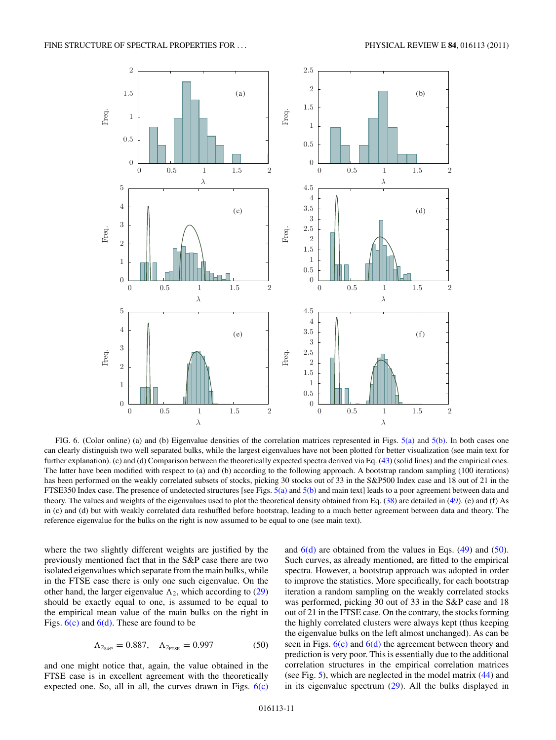<span id="page-11-0"></span>

FIG. 6. (Color online) (a) and (b) Eigenvalue densities of the correlation matrices represented in Figs. [5\(a\)](#page-9-0) and [5\(b\).](#page-9-0) In both cases one can clearly distinguish two well separated bulks, while the largest eigenvalues have not been plotted for better visualization (see main text for further explanation). (c) and (d) Comparison between the theoretically expected spectra derived via Eq. [\(43\)](#page-5-0) (solid lines) and the empirical ones. The latter have been modified with respect to (a) and (b) according to the following approach. A bootstrap random sampling (100 iterations) has been performed on the weakly correlated subsets of stocks, picking 30 stocks out of 33 in the S&P500 Index case and 18 out of 21 in the FTSE350 Index case. The presence of undetected structures [see Figs.  $5(a)$  and  $5(b)$  and main text] leads to a poor agreement between data and theory. The values and weights of the eigenvalues used to plot the theoretical density obtained from Eq. [\(38\)](#page-5-0) are detailed in [\(49\)](#page-9-0). (e) and (f) As in (c) and (d) but with weakly correlated data reshuffled before bootstrap, leading to a much better agreement between data and theory. The reference eigenvalue for the bulks on the right is now assumed to be equal to one (see main text).

where the two slightly different weights are justified by the previously mentioned fact that in the S&P case there are two isolated eigenvalues which separate from the main bulks, while in the FTSE case there is only one such eigenvalue. On the other hand, the larger eigenvalue  $\Lambda_2$ , which according to [\(29\)](#page-4-0) should be exactly equal to one, is assumed to be equal to the empirical mean value of the main bulks on the right in Figs.  $6(c)$  and  $6(d)$ . These are found to be

$$
\Lambda_{2_{S\&P}} = 0.887, \quad \Lambda_{2_{\text{FTSE}}} = 0.997 \tag{50}
$$

and one might notice that, again, the value obtained in the FTSE case is in excellent agreement with the theoretically expected one. So, all in all, the curves drawn in Figs.  $6(c)$  and  $6(d)$  are obtained from the values in Eqs. [\(49\)](#page-9-0) and [\(50\)](#page-10-0). Such curves, as already mentioned, are fitted to the empirical spectra. However, a bootstrap approach was adopted in order to improve the statistics. More specifically, for each bootstrap iteration a random sampling on the weakly correlated stocks was performed, picking 30 out of 33 in the S&P case and 18 out of 21 in the FTSE case. On the contrary, the stocks forming the highly correlated clusters were always kept (thus keeping the eigenvalue bulks on the left almost unchanged). As can be seen in Figs.  $6(c)$  and  $6(d)$  the agreement between theory and prediction is very poor. This is essentially due to the additional correlation structures in the empirical correlation matrices (see Fig. [5\)](#page-9-0), which are neglected in the model matrix [\(44\)](#page-7-0) and in its eigenvalue spectrum [\(29\)](#page-4-0). All the bulks displayed in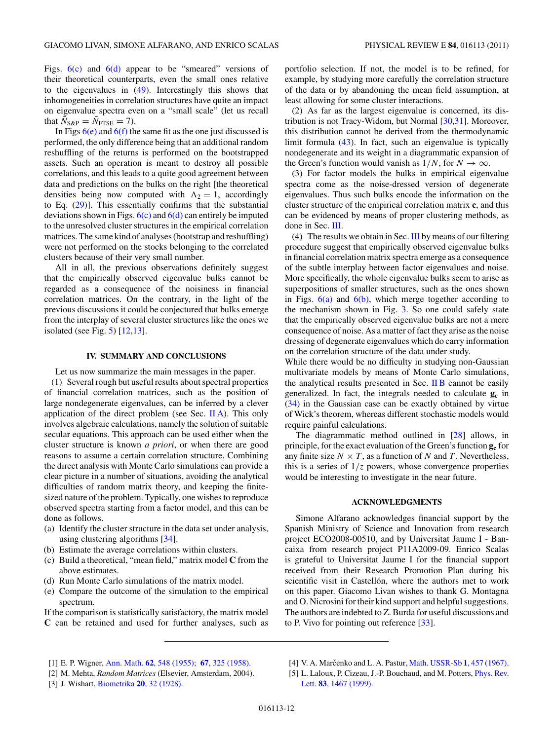<span id="page-12-0"></span>Figs.  $6(c)$  and  $6(d)$  appear to be "smeared" versions of their theoretical counterparts, even the small ones relative to the eigenvalues in [\(49\)](#page-9-0). Interestingly this shows that inhomogeneities in correlation structures have quite an impact on eigenvalue spectra even on a "small scale" (let us recall that  $\overline{N}_{S\&P} = \overline{N}_{\text{FTSE}} = 7$ .

In Figs  $6(e)$  and  $6(f)$  the same fit as the one just discussed is performed, the only difference being that an additional random reshuffling of the returns is performed on the bootstrapped assets. Such an operation is meant to destroy all possible correlations, and this leads to a quite good agreement between data and predictions on the bulks on the right [the theoretical densities being now computed with  $\Lambda_2 = 1$ , accordingly to Eq. [\(29\)](#page-4-0)]. This essentially confirms that the substantial deviations shown in Figs.  $6(c)$  and  $6(d)$  can entirely be imputed to the unresolved cluster structures in the empirical correlation matrices. The same kind of analyses (bootstrap and reshuffling) were not performed on the stocks belonging to the correlated clusters because of their very small number.

All in all, the previous observations definitely suggest that the empirically observed eigenvalue bulks cannot be regarded as a consequence of the noisiness in financial correlation matrices. On the contrary, in the light of the previous discussions it could be conjectured that bulks emerge from the interplay of several cluster structures like the ones we isolated (see Fig. [5\)](#page-9-0) [12,13].

#### **IV. SUMMARY AND CONCLUSIONS**

Let us now summarize the main messages in the paper.

(1) Several rough but useful results about spectral properties of financial correlation matrices, such as the position of large nondegenerate eigenvalues, can be inferred by a clever application of the direct problem (see Sec.  $\Pi A$ ). This only involves algebraic calculations, namely the solution of suitable secular equations. This approach can be used either when the cluster structure is known *a priori*, or when there are good reasons to assume a certain correlation structure. Combining the direct analysis with Monte Carlo simulations can provide a clear picture in a number of situations, avoiding the analytical difficulties of random matrix theory, and keeping the finitesized nature of the problem. Typically, one wishes to reproduce observed spectra starting from a factor model, and this can be done as follows.

- (a) Identify the cluster structure in the data set under analysis, using clustering algorithms [34].
- (b) Estimate the average correlations within clusters.
- (c) Build a theoretical, "mean field," matrix model **C** from the above estimates.
- (d) Run Monte Carlo simulations of the matrix model.
- (e) Compare the outcome of the simulation to the empirical spectrum.

If the comparison is statistically satisfactory, the matrix model **C** can be retained and used for further analyses, such as

portfolio selection. If not, the model is to be refined, for example, by studying more carefully the correlation structure of the data or by abandoning the mean field assumption, at least allowing for some cluster interactions.

(2) As far as the largest eigenvalue is concerned, its distribution is not Tracy-Widom, but Normal [30,31]. Moreover, this distribution cannot be derived from the thermodynamic limit formula [\(43\)](#page-5-0). In fact, such an eigenvalue is typically nondegenerate and its weight in a diagrammatic expansion of the Green's function would vanish as  $1/N$ , for  $N \rightarrow \infty$ .

(3) For factor models the bulks in empirical eigenvalue spectra come as the noise-dressed version of degenerate eigenvalues. Thus such bulks encode the information on the cluster structure of the empirical correlation matrix **c**, and this can be evidenced by means of proper clustering methods, as done in Sec. [III.](#page-6-0)

(4) The results we obtain in Sec. [III](#page-6-0) by means of our filtering procedure suggest that empirically observed eigenvalue bulks in financial correlation matrix spectra emerge as a consequence of the subtle interplay between factor eigenvalues and noise. More specifically, the whole eigenvalue bulks seem to arise as superpositions of smaller structures, such as the ones shown in Figs.  $6(a)$  and  $6(b)$ , which merge together according to the mechanism shown in Fig. [3.](#page-7-0) So one could safely state that the empirically observed eigenvalue bulks are not a mere consequence of noise. As a matter of fact they arise as the noise dressing of degenerate eigenvalues which do carry information on the correlation structure of the data under study.

While there would be no difficulty in studying non-Gaussian multivariate models by means of Monte Carlo simulations, the analytical results presented in Sec.  $\overline{I}$  IB cannot be easily generalized. In fact, the integrals needed to calculate **g<sup>c</sup>** in [\(34\)](#page-5-0) in the Gaussian case can be exactly obtained by virtue of Wick's theorem, whereas different stochastic models would require painful calculations.

The diagrammatic method outlined in [28] allows, in principle, for the exact evaluation of the Green's function **g<sup>c</sup>** for any finite size  $N \times T$ , as a function of N and T. Nevertheless, this is a series of  $1/z$  powers, whose convergence properties would be interesting to investigate in the near future.

#### **ACKNOWLEDGMENTS**

Simone Alfarano acknowledges financial support by the Spanish Ministry of Science and Innovation from research project ECO2008-00510, and by Universitat Jaume I - Bancaixa from research project P11A2009-09. Enrico Scalas is grateful to Universitat Jaume I for the financial support received from their Research Promotion Plan during his scientific visit in Castellón, where the authors met to work on this paper. Giacomo Livan wishes to thank G. Montagna and O. Nicrosini for their kind support and helpful suggestions. The authors are indebted to Z. Burda for useful discussions and to P. Vivo for pointing out reference [33].

[1] E. P. Wigner, Ann. Math. **62**[, 548 \(1955\);](http://dx.doi.org/10.2307/1970079) **67**[, 325 \(1958\).](http://dx.doi.org/10.2307/1970008)

[4] V. A. Marcenko and L. A. Pastur, [Math. USSR-Sb](http://dx.doi.org/10.1070/SM1967v001n04ABEH001994) 1, 457 (1967).

<sup>[2]</sup> M. Mehta, *Random Matrices* (Elsevier, Amsterdam, 2004).

<sup>[3]</sup> J. Wishart, Biometrika **20**[, 32 \(1928\).](http://dx.doi.org/10.1093/biomet/20A.1-2.32)

<sup>[5]</sup> L. Laloux, P. Cizeau, J.-P. Bouchaud, and M. Potters, *[Phys. Rev.](http://dx.doi.org/10.1103/PhysRevLett.83.1467)* Lett. **83**[, 1467 \(1999\).](http://dx.doi.org/10.1103/PhysRevLett.83.1467)